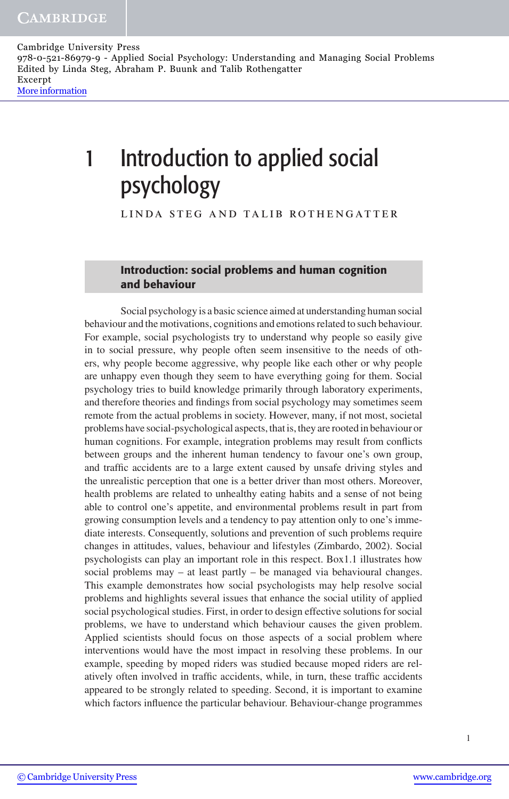# 1 Introduction to applied social psychology

linda steg and talib rothengatter

## **Introduction: social problems and human cognition and behaviour**

Social psychology is a basic science aimed at understanding human social behaviour and the motivations, cognitions and emotions related to such behaviour. For example, social psychologists try to understand why people so easily give in to social pressure, why people often seem insensitive to the needs of others, why people become aggressive, why people like each other or why people are unhappy even though they seem to have everything going for them. Social psychology tries to build knowledge primarily through laboratory experiments, and therefore theories and findings from social psychology may sometimes seem remote from the actual problems in society. However, many, if not most, societal problems have social-psychological aspects, that is, they are rooted in behaviour or human cognitions. For example, integration problems may result from conflicts between groups and the inherent human tendency to favour one's own group, and traffic accidents are to a large extent caused by unsafe driving styles and the unrealistic perception that one is a better driver than most others. Moreover, health problems are related to unhealthy eating habits and a sense of not being able to control one's appetite, and environmental problems result in part from growing consumption levels and a tendency to pay attention only to one's immediate interests. Consequently, solutions and prevention of such problems require changes in attitudes, values, behaviour and lifestyles (Zimbardo, 2002). Social psychologists can play an important role in this respect. Box1.1 illustrates how social problems may – at least partly – be managed via behavioural changes. This example demonstrates how social psychologists may help resolve social problems and highlights several issues that enhance the social utility of applied social psychological studies. First, in order to design effective solutions for social problems, we have to understand which behaviour causes the given problem. Applied scientists should focus on those aspects of a social problem where interventions would have the most impact in resolving these problems. In our example, speeding by moped riders was studied because moped riders are relatively often involved in traffic accidents, while, in turn, these traffic accidents appeared to be strongly related to speeding. Second, it is important to examine which factors influence the particular behaviour. Behaviour-change programmes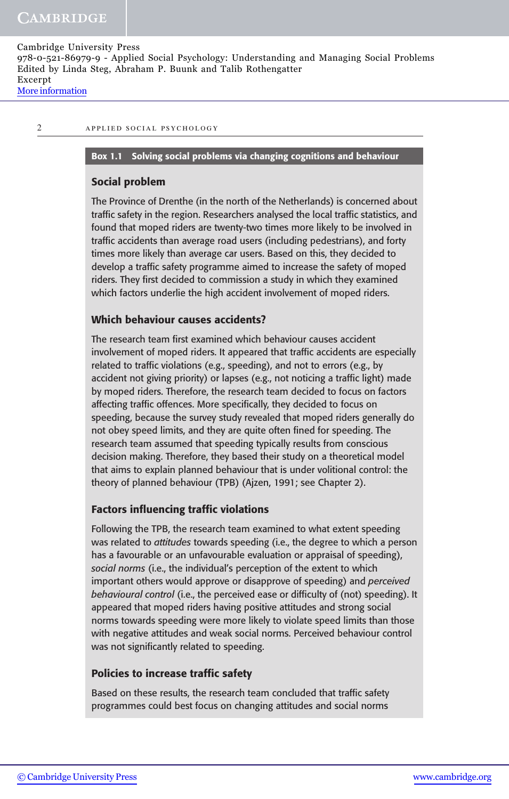#### 2 applied social psychology

### **Box 1.1 Solving social problems via changing cognitions and behaviour**

## **Social problem**

The Province of Drenthe (in the north of the Netherlands) is concerned about traffic safety in the region. Researchers analysed the local traffic statistics, and found that moped riders are twenty-two times more likely to be involved in traffic accidents than average road users (including pedestrians), and forty times more likely than average car users. Based on this, they decided to develop a traffic safety programme aimed to increase the safety of moped riders. They first decided to commission a study in which they examined which factors underlie the high accident involvement of moped riders.

## **Which behaviour causes accidents?**

The research team first examined which behaviour causes accident involvement of moped riders. It appeared that traffic accidents are especially related to traffic violations (e.g., speeding), and not to errors (e.g., by accident not giving priority) or lapses (e.g., not noticing a traffic light) made by moped riders. Therefore, the research team decided to focus on factors affecting traffic offences. More specifically, they decided to focus on speeding, because the survey study revealed that moped riders generally do not obey speed limits, and they are quite often fined for speeding. The research team assumed that speeding typically results from conscious decision making. Therefore, they based their study on a theoretical model that aims to explain planned behaviour that is under volitional control: the theory of planned behaviour (TPB) (Ajzen, 1991; see Chapter 2).

## **Factors influencing traffic violations**

Following the TPB, the research team examined to what extent speeding was related to *attitudes* towards speeding (i.e., the degree to which a person has a favourable or an unfavourable evaluation or appraisal of speeding), *social norms* (i.e., the individual's perception of the extent to which important others would approve or disapprove of speeding) and *perceived behavioural control* (i.e., the perceived ease or difficulty of (not) speeding). It appeared that moped riders having positive attitudes and strong social norms towards speeding were more likely to violate speed limits than those with negative attitudes and weak social norms. Perceived behaviour control was not significantly related to speeding.

## **Policies to increase traffic safety**

Based on these results, the research team concluded that traffic safety programmes could best focus on changing attitudes and social norms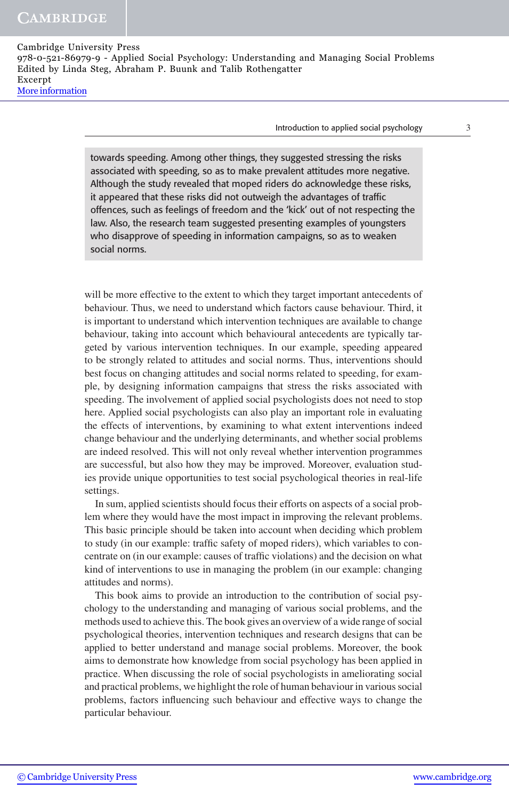Introduction to applied social psychology 3

towards speeding. Among other things, they suggested stressing the risks associated with speeding, so as to make prevalent attitudes more negative. Although the study revealed that moped riders do acknowledge these risks, it appeared that these risks did not outweigh the advantages of traffic offences, such as feelings of freedom and the 'kick' out of not respecting the law. Also, the research team suggested presenting examples of youngsters who disapprove of speeding in information campaigns, so as to weaken social norms.

will be more effective to the extent to which they target important antecedents of behaviour. Thus, we need to understand which factors cause behaviour. Third, it is important to understand which intervention techniques are available to change behaviour, taking into account which behavioural antecedents are typically targeted by various intervention techniques. In our example, speeding appeared to be strongly related to attitudes and social norms. Thus, interventions should best focus on changing attitudes and social norms related to speeding, for example, by designing information campaigns that stress the risks associated with speeding. The involvement of applied social psychologists does not need to stop here. Applied social psychologists can also play an important role in evaluating the effects of interventions, by examining to what extent interventions indeed change behaviour and the underlying determinants, and whether social problems are indeed resolved. This will not only reveal whether intervention programmes are successful, but also how they may be improved. Moreover, evaluation studies provide unique opportunities to test social psychological theories in real-life settings.

In sum, applied scientists should focus their efforts on aspects of a social problem where they would have the most impact in improving the relevant problems. This basic principle should be taken into account when deciding which problem to study (in our example: traffic safety of moped riders), which variables to concentrate on (in our example: causes of traffic violations) and the decision on what kind of interventions to use in managing the problem (in our example: changing attitudes and norms).

This book aims to provide an introduction to the contribution of social psychology to the understanding and managing of various social problems, and the methods used to achieve this. The book gives an overview of a wide range of social psychological theories, intervention techniques and research designs that can be applied to better understand and manage social problems. Moreover, the book aims to demonstrate how knowledge from social psychology has been applied in practice. When discussing the role of social psychologists in ameliorating social and practical problems, we highlight the role of human behaviour in various social problems, factors influencing such behaviour and effective ways to change the particular behaviour.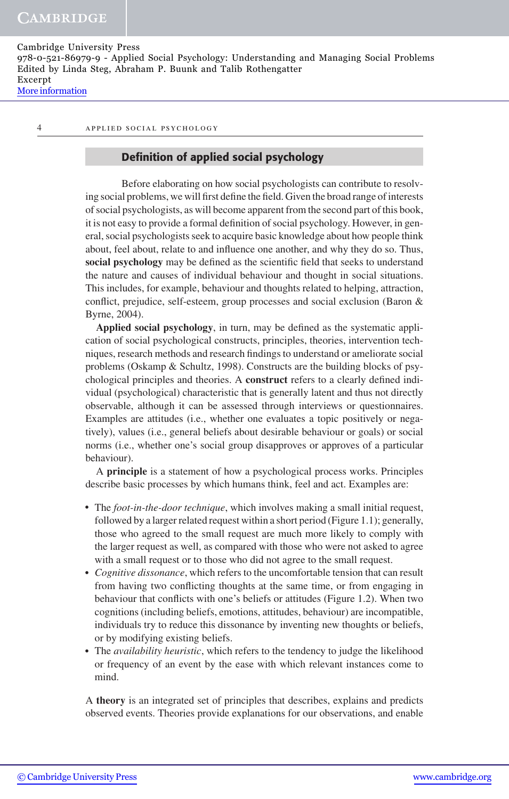4 applied social psychology

## **Definition of applied social psychology**

Before elaborating on how social psychologists can contribute to resolving social problems, we will first define the field. Given the broad range of interests of social psychologists, as will become apparent from the second part of this book, it is not easy to provide a formal definition of social psychology. However, in general, social psychologists seek to acquire basic knowledge about how people think about, feel about, relate to and influence one another, and why they do so. Thus, **social psychology** may be defined as the scientific field that seeks to understand the nature and causes of individual behaviour and thought in social situations. This includes, for example, behaviour and thoughts related to helping, attraction, conflict, prejudice, self-esteem, group processes and social exclusion (Baron & Byrne, 2004).

**Applied social psychology**, in turn, may be defined as the systematic application of social psychological constructs, principles, theories, intervention techniques, research methods and research findings to understand or ameliorate social problems (Oskamp & Schultz, 1998). Constructs are the building blocks of psychological principles and theories. A **construct** refers to a clearly defined individual (psychological) characteristic that is generally latent and thus not directly observable, although it can be assessed through interviews or questionnaires. Examples are attitudes (i.e., whether one evaluates a topic positively or negatively), values (i.e., general beliefs about desirable behaviour or goals) or social norms (i.e., whether one's social group disapproves or approves of a particular behaviour).

A **principle** is a statement of how a psychological process works. Principles describe basic processes by which humans think, feel and act. Examples are:

- The *foot-in-the-door technique*, which involves making a small initial request, followed by a larger related request within a short period (Figure 1.1); generally, those who agreed to the small request are much more likely to comply with the larger request as well, as compared with those who were not asked to agree with a small request or to those who did not agree to the small request.
- *Cognitive dissonance*, which refers to the uncomfortable tension that can result from having two conflicting thoughts at the same time, or from engaging in behaviour that conflicts with one's beliefs or attitudes (Figure 1.2). When two cognitions (including beliefs, emotions, attitudes, behaviour) are incompatible, individuals try to reduce this dissonance by inventing new thoughts or beliefs, or by modifying existing beliefs.
- The *availability heuristic*, which refers to the tendency to judge the likelihood or frequency of an event by the ease with which relevant instances come to mind.

A **theory** is an integrated set of principles that describes, explains and predicts observed events. Theories provide explanations for our observations, and enable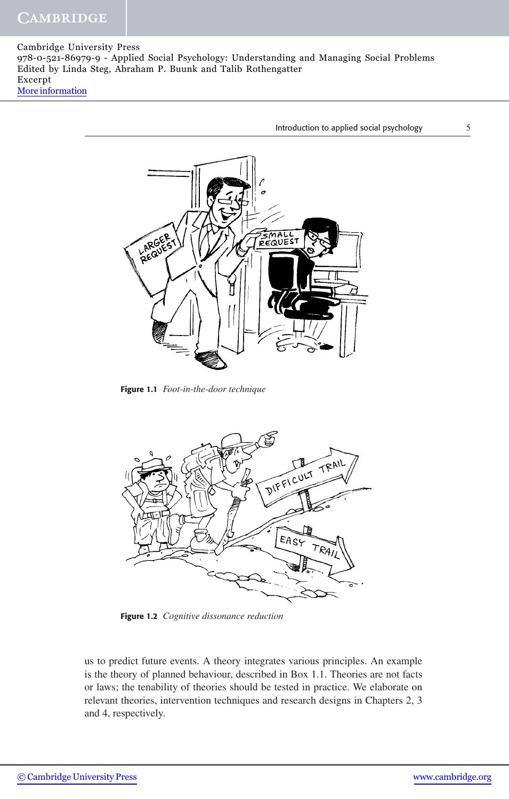

**Figure 1.1** *Foot-in-the-door technique*



**Figure 1.2** *Cognitive dissonance reduction*

us to predict future events. A theory integrates various principles. An example is the theory of planned behaviour, described in Box 1.1. Theories are not facts or laws; the tenability of theories should be tested in practice. We elaborate on relevant theories, intervention techniques and research designs in Chapters 2, 3 and 4, respectively.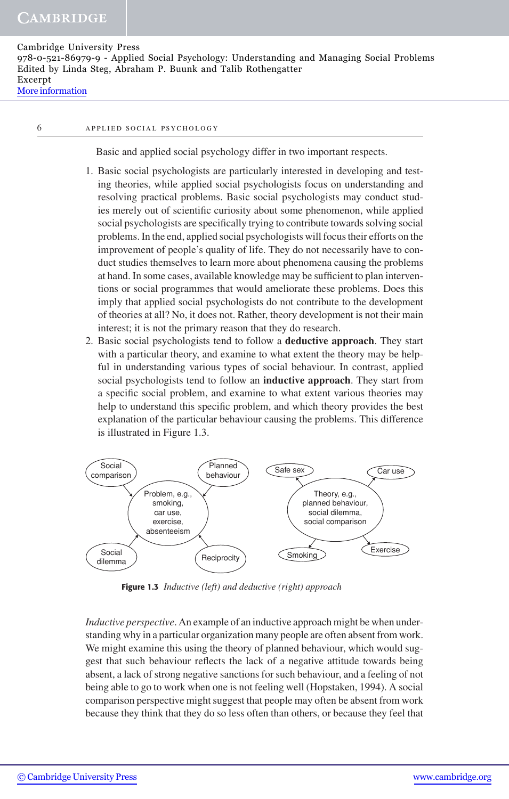#### 6 applied social psychology

Basic and applied social psychology differ in two important respects.

- 1. Basic social psychologists are particularly interested in developing and testing theories, while applied social psychologists focus on understanding and resolving practical problems. Basic social psychologists may conduct studies merely out of scientific curiosity about some phenomenon, while applied social psychologists are specifically trying to contribute towards solving social problems. In the end, applied social psychologists will focus their efforts on the improvement of people's quality of life. They do not necessarily have to conduct studies themselves to learn more about phenomena causing the problems at hand. In some cases, available knowledge may be sufficient to plan interventions or social programmes that would ameliorate these problems. Does this imply that applied social psychologists do not contribute to the development of theories at all? No, it does not. Rather, theory development is not their main interest; it is not the primary reason that they do research.
- 2. Basic social psychologists tend to follow a **deductive approach**. They start with a particular theory, and examine to what extent the theory may be helpful in understanding various types of social behaviour. In contrast, applied social psychologists tend to follow an **inductive approach**. They start from a specific social problem, and examine to what extent various theories may help to understand this specific problem, and which theory provides the best explanation of the particular behaviour causing the problems. This difference is illustrated in Figure 1.3.



**Figure 1.3** *Inductive (left) and deductive (right) approach*

*Inductive perspective*. An example of an inductive approach might be when understanding why in a particular organization many people are often absent from work. We might examine this using the theory of planned behaviour, which would suggest that such behaviour reflects the lack of a negative attitude towards being absent, a lack of strong negative sanctions for such behaviour, and a feeling of not being able to go to work when one is not feeling well (Hopstaken, 1994). A social comparison perspective might suggest that people may often be absent from work because they think that they do so less often than others, or because they feel that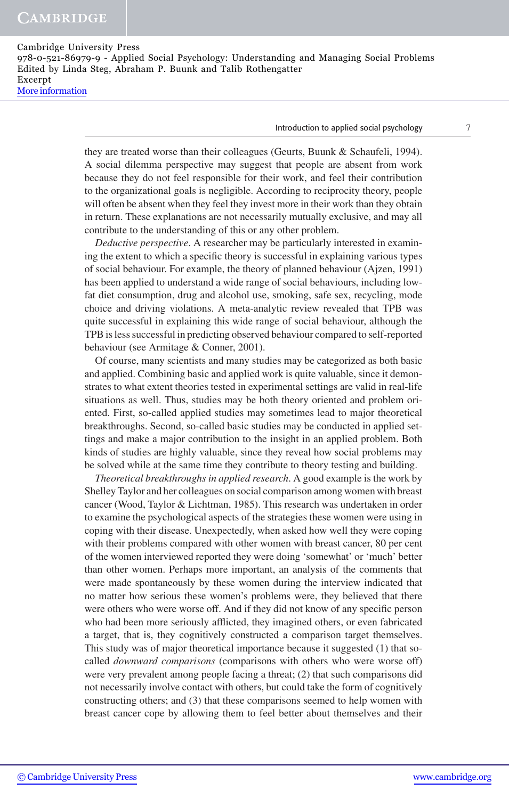Introduction to applied social psychology 7

they are treated worse than their colleagues (Geurts, Buunk & Schaufeli, 1994). A social dilemma perspective may suggest that people are absent from work because they do not feel responsible for their work, and feel their contribution to the organizational goals is negligible. According to reciprocity theory, people will often be absent when they feel they invest more in their work than they obtain in return. These explanations are not necessarily mutually exclusive, and may all contribute to the understanding of this or any other problem.

*Deductive perspective*. A researcher may be particularly interested in examining the extent to which a specific theory is successful in explaining various types of social behaviour. For example, the theory of planned behaviour (Ajzen, 1991) has been applied to understand a wide range of social behaviours, including lowfat diet consumption, drug and alcohol use, smoking, safe sex, recycling, mode choice and driving violations. A meta-analytic review revealed that TPB was quite successful in explaining this wide range of social behaviour, although the TPB is less successful in predicting observed behaviour compared to self-reported behaviour (see Armitage & Conner, 2001).

Of course, many scientists and many studies may be categorized as both basic and applied. Combining basic and applied work is quite valuable, since it demonstrates to what extent theories tested in experimental settings are valid in real-life situations as well. Thus, studies may be both theory oriented and problem oriented. First, so-called applied studies may sometimes lead to major theoretical breakthroughs. Second, so-called basic studies may be conducted in applied settings and make a major contribution to the insight in an applied problem. Both kinds of studies are highly valuable, since they reveal how social problems may be solved while at the same time they contribute to theory testing and building.

*Theoretical breakthroughs in applied research*. A good example is the work by Shelley Taylor and her colleagues on social comparison among women with breast cancer (Wood, Taylor & Lichtman, 1985). This research was undertaken in order to examine the psychological aspects of the strategies these women were using in coping with their disease. Unexpectedly, when asked how well they were coping with their problems compared with other women with breast cancer, 80 per cent of the women interviewed reported they were doing 'somewhat' or 'much' better than other women. Perhaps more important, an analysis of the comments that were made spontaneously by these women during the interview indicated that no matter how serious these women's problems were, they believed that there were others who were worse off. And if they did not know of any specific person who had been more seriously afflicted, they imagined others, or even fabricated a target, that is, they cognitively constructed a comparison target themselves. This study was of major theoretical importance because it suggested (1) that socalled *downward comparisons* (comparisons with others who were worse off) were very prevalent among people facing a threat; (2) that such comparisons did not necessarily involve contact with others, but could take the form of cognitively constructing others; and (3) that these comparisons seemed to help women with breast cancer cope by allowing them to feel better about themselves and their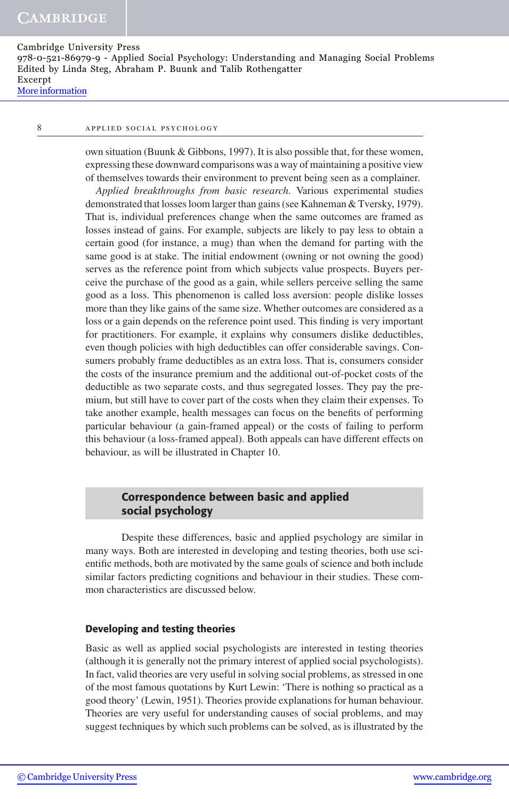#### 8 applied social psychology

own situation (Buunk & Gibbons, 1997). It is also possible that, for these women, expressing these downward comparisons was a way of maintaining a positive view of themselves towards their environment to prevent being seen as a complainer.

*Applied breakthroughs from basic research*. Various experimental studies demonstrated that losses loom larger than gains (see Kahneman & Tversky, 1979). That is, individual preferences change when the same outcomes are framed as losses instead of gains. For example, subjects are likely to pay less to obtain a certain good (for instance, a mug) than when the demand for parting with the same good is at stake. The initial endowment (owning or not owning the good) serves as the reference point from which subjects value prospects. Buyers perceive the purchase of the good as a gain, while sellers perceive selling the same good as a loss. This phenomenon is called loss aversion: people dislike losses more than they like gains of the same size. Whether outcomes are considered as a loss or a gain depends on the reference point used. This finding is very important for practitioners. For example, it explains why consumers dislike deductibles, even though policies with high deductibles can offer considerable savings. Consumers probably frame deductibles as an extra loss. That is, consumers consider the costs of the insurance premium and the additional out-of-pocket costs of the deductible as two separate costs, and thus segregated losses. They pay the premium, but still have to cover part of the costs when they claim their expenses. To take another example, health messages can focus on the benefits of performing particular behaviour (a gain-framed appeal) or the costs of failing to perform this behaviour (a loss-framed appeal). Both appeals can have different effects on behaviour, as will be illustrated in Chapter 10.

# **Correspondence between basic and applied social psychology**

Despite these differences, basic and applied psychology are similar in many ways. Both are interested in developing and testing theories, both use scientific methods, both are motivated by the same goals of science and both include similar factors predicting cognitions and behaviour in their studies. These common characteristics are discussed below.

## **Developing and testing theories**

Basic as well as applied social psychologists are interested in testing theories (although it is generally not the primary interest of applied social psychologists). In fact, valid theories are very useful in solving social problems, as stressed in one of the most famous quotations by Kurt Lewin: 'There is nothing so practical as a good theory' (Lewin, 1951). Theories provide explanations for human behaviour. Theories are very useful for understanding causes of social problems, and may suggest techniques by which such problems can be solved, as is illustrated by the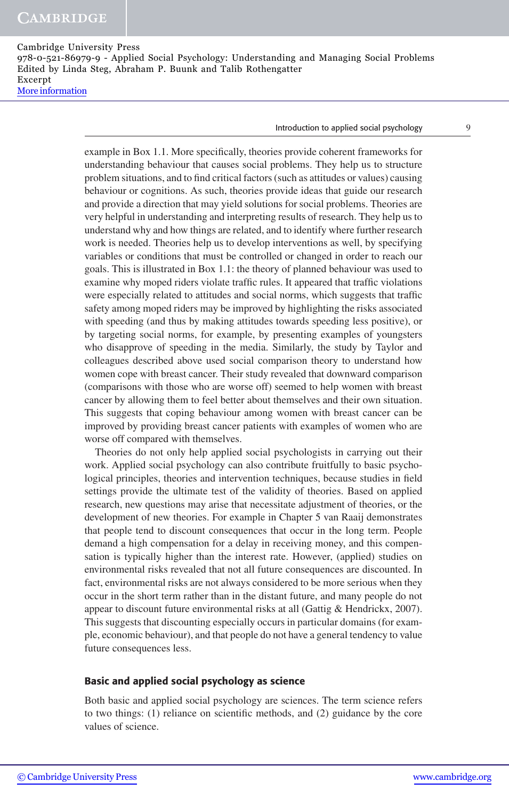Introduction to applied social psychology 9

example in Box 1.1. More specifically, theories provide coherent frameworks for understanding behaviour that causes social problems. They help us to structure problem situations, and to find critical factors (such as attitudes or values) causing behaviour or cognitions. As such, theories provide ideas that guide our research and provide a direction that may yield solutions for social problems. Theories are very helpful in understanding and interpreting results of research. They help us to understand why and how things are related, and to identify where further research work is needed. Theories help us to develop interventions as well, by specifying variables or conditions that must be controlled or changed in order to reach our goals. This is illustrated in Box 1.1: the theory of planned behaviour was used to examine why moped riders violate traffic rules. It appeared that traffic violations were especially related to attitudes and social norms, which suggests that traffic safety among moped riders may be improved by highlighting the risks associated with speeding (and thus by making attitudes towards speeding less positive), or by targeting social norms, for example, by presenting examples of youngsters who disapprove of speeding in the media. Similarly, the study by Taylor and colleagues described above used social comparison theory to understand how women cope with breast cancer. Their study revealed that downward comparison (comparisons with those who are worse off) seemed to help women with breast cancer by allowing them to feel better about themselves and their own situation. This suggests that coping behaviour among women with breast cancer can be improved by providing breast cancer patients with examples of women who are worse off compared with themselves.

Theories do not only help applied social psychologists in carrying out their work. Applied social psychology can also contribute fruitfully to basic psychological principles, theories and intervention techniques, because studies in field settings provide the ultimate test of the validity of theories. Based on applied research, new questions may arise that necessitate adjustment of theories, or the development of new theories. For example in Chapter 5 van Raaij demonstrates that people tend to discount consequences that occur in the long term. People demand a high compensation for a delay in receiving money, and this compensation is typically higher than the interest rate. However, (applied) studies on environmental risks revealed that not all future consequences are discounted. In fact, environmental risks are not always considered to be more serious when they occur in the short term rather than in the distant future, and many people do not appear to discount future environmental risks at all (Gattig & Hendrickx, 2007). This suggests that discounting especially occurs in particular domains (for example, economic behaviour), and that people do not have a general tendency to value future consequences less.

#### **Basic and applied social psychology as science**

Both basic and applied social psychology are sciences. The term science refers to two things: (1) reliance on scientific methods, and (2) guidance by the core values of science.